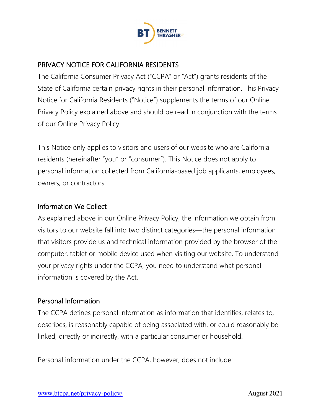

## PRIVACY NOTICE FOR CALIFORNIA RESIDENTS

The California Consumer Privacy Act ("CCPA" or "Act") grants residents of the State of California certain privacy rights in their personal information. This Privacy Notice for California Residents ("Notice") supplements the terms of our Online Privacy Policy explained above and should be read in conjunction with the terms of our Online Privacy Policy.

This Notice only applies to visitors and users of our website who are California residents (hereinafter "you" or "consumer"). This Notice does not apply to personal information collected from California-based job applicants, employees, owners, or contractors.

### Information We Collect

As explained above in our Online Privacy Policy, the information we obtain from visitors to our website fall into two distinct categories—the personal information that visitors provide us and technical information provided by the browser of the computer, tablet or mobile device used when visiting our website. To understand your privacy rights under the CCPA, you need to understand what personal information is covered by the Act.

### Personal Information

The CCPA defines personal information as information that identifies, relates to, describes, is reasonably capable of being associated with, or could reasonably be linked, directly or indirectly, with a particular consumer or household.

Personal information under the CCPA, however, does not include: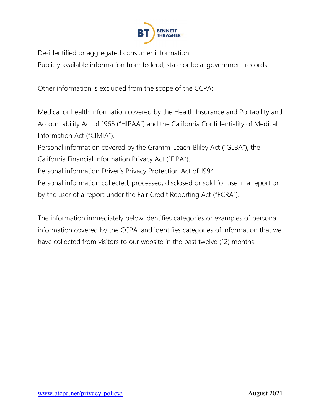

De-identified or aggregated consumer information.

Publicly available information from federal, state or local government records.

Other information is excluded from the scope of the CCPA:

Medical or health information covered by the Health Insurance and Portability and Accountability Act of 1966 ("HIPAA") and the California Confidentiality of Medical Information Act ("CIMIA").

Personal information covered by the Gramm-Leach-Bliley Act ("GLBA"), the California Financial Information Privacy Act ("FIPA").

Personal information Driver's Privacy Protection Act of 1994.

Personal information collected, processed, disclosed or sold for use in a report or by the user of a report under the Fair Credit Reporting Act ("FCRA").

The information immediately below identifies categories or examples of personal information covered by the CCPA, and identifies categories of information that we have collected from visitors to our website in the past twelve (12) months: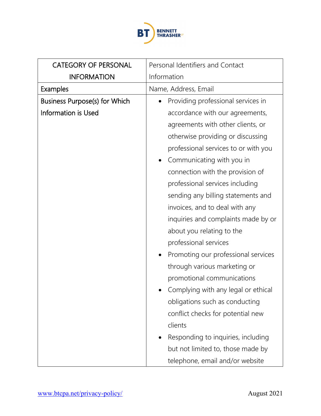

| <b>CATEGORY OF PERSONAL</b>          | Personal Identifiers and Contact     |
|--------------------------------------|--------------------------------------|
| <b>INFORMATION</b>                   | Information                          |
| <b>Examples</b>                      | Name, Address, Email                 |
| <b>Business Purpose(s) for Which</b> | Providing professional services in   |
| <b>Information is Used</b>           | accordance with our agreements,      |
|                                      | agreements with other clients, or    |
|                                      | otherwise providing or discussing    |
|                                      | professional services to or with you |
|                                      | Communicating with you in            |
|                                      | connection with the provision of     |
|                                      | professional services including      |
|                                      | sending any billing statements and   |
|                                      | invoices, and to deal with any       |
|                                      | inquiries and complaints made by or  |
|                                      | about you relating to the            |
|                                      | professional services                |
|                                      | Promoting our professional services  |
|                                      | through various marketing or         |
|                                      | promotional communications           |
|                                      | Complying with any legal or ethical  |
|                                      | obligations such as conducting       |
|                                      | conflict checks for potential new    |
|                                      | clients                              |
|                                      | Responding to inquiries, including   |
|                                      | but not limited to, those made by    |
|                                      | telephone, email and/or website      |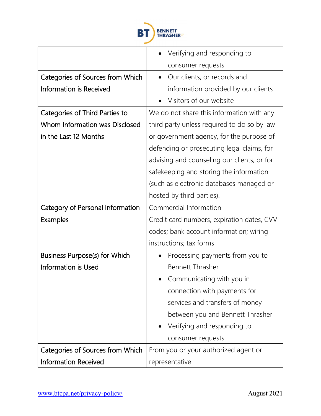

|                                         | Verifying and responding to                 |
|-----------------------------------------|---------------------------------------------|
|                                         | consumer requests                           |
| Categories of Sources from Which        | Our clients, or records and                 |
| <b>Information is Received</b>          | information provided by our clients         |
|                                         | Visitors of our website                     |
| Categories of Third Parties to          | We do not share this information with any   |
| Whom Information was Disclosed          | third party unless required to do so by law |
| in the Last 12 Months                   | or government agency, for the purpose of    |
|                                         | defending or prosecuting legal claims, for  |
|                                         | advising and counseling our clients, or for |
|                                         | safekeeping and storing the information     |
|                                         | (such as electronic databases managed or    |
|                                         | hosted by third parties).                   |
| <b>Category of Personal Information</b> | Commercial Information                      |
| <b>Examples</b>                         | Credit card numbers, expiration dates, CVV  |
|                                         | codes; bank account information; wiring     |
|                                         | instructions; tax forms                     |
| <b>Business Purpose(s) for Which</b>    | Processing payments from you to             |
| <b>Information is Used</b>              | <b>Bennett Thrasher</b>                     |
|                                         | Communicating with you in                   |
|                                         | connection with payments for                |
|                                         | services and transfers of money             |
|                                         | between you and Bennett Thrasher            |
|                                         | Verifying and responding to                 |
|                                         | consumer requests                           |
| Categories of Sources from Which        | From you or your authorized agent or        |
| <b>Information Received</b>             | representative                              |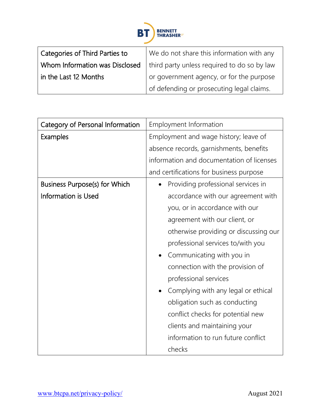

| Categories of Third Parties to | We do not share this information with any   |
|--------------------------------|---------------------------------------------|
| Whom Information was Disclosed | third party unless required to do so by law |
| in the Last 12 Months          | or government agency, or for the purpose    |
|                                | of defending or prosecuting legal claims.   |

| Category of Personal Information     | Employment Information                    |
|--------------------------------------|-------------------------------------------|
| Examples                             | Employment and wage history; leave of     |
|                                      | absence records, garnishments, benefits   |
|                                      | information and documentation of licenses |
|                                      | and certifications for business purpose   |
| <b>Business Purpose(s) for Which</b> | Providing professional services in        |
| <b>Information is Used</b>           | accordance with our agreement with        |
|                                      | you, or in accordance with our            |
|                                      | agreement with our client, or             |
|                                      | otherwise providing or discussing our     |
|                                      | professional services to/with you         |
|                                      | Communicating with you in                 |
|                                      | connection with the provision of          |
|                                      | professional services                     |
|                                      | Complying with any legal or ethical       |
|                                      | obligation such as conducting             |
|                                      | conflict checks for potential new         |
|                                      | clients and maintaining your              |
|                                      | information to run future conflict        |
|                                      | checks                                    |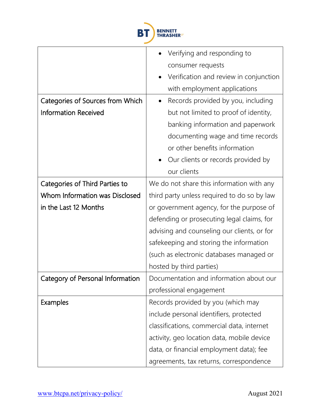

|                                       | Verifying and responding to                 |
|---------------------------------------|---------------------------------------------|
|                                       | consumer requests                           |
|                                       | Verification and review in conjunction      |
|                                       | with employment applications                |
| Categories of Sources from Which      | Records provided by you, including          |
| <b>Information Received</b>           | but not limited to proof of identity,       |
|                                       | banking information and paperwork           |
|                                       | documenting wage and time records           |
|                                       | or other benefits information               |
|                                       | Our clients or records provided by          |
|                                       | our clients                                 |
| <b>Categories of Third Parties to</b> | We do not share this information with any   |
| Whom Information was Disclosed        | third party unless required to do so by law |
| in the Last 12 Months                 | or government agency, for the purpose of    |
|                                       | defending or prosecuting legal claims, for  |
|                                       | advising and counseling our clients, or for |
|                                       | safekeeping and storing the information     |
|                                       | (such as electronic databases managed or    |
|                                       | hosted by third parties)                    |
| Category of Personal Information      | Documentation and information about our     |
|                                       | professional engagement                     |
| <b>Examples</b>                       | Records provided by you (which may          |
|                                       | include personal identifiers, protected     |
|                                       | classifications, commercial data, internet  |
|                                       | activity, geo location data, mobile device  |
|                                       | data, or financial employment data); fee    |
|                                       | agreements, tax returns, correspondence     |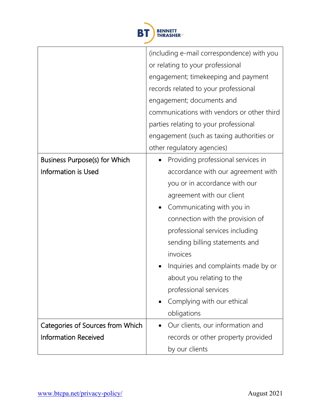

|                                      | (including e-mail correspondence) with you |
|--------------------------------------|--------------------------------------------|
|                                      | or relating to your professional           |
|                                      | engagement; timekeeping and payment        |
|                                      | records related to your professional       |
|                                      | engagement; documents and                  |
|                                      | communications with vendors or other third |
|                                      | parties relating to your professional      |
|                                      | engagement (such as taxing authorities or  |
|                                      | other regulatory agencies)                 |
| <b>Business Purpose(s) for Which</b> | Providing professional services in         |
| <b>Information is Used</b>           | accordance with our agreement with         |
|                                      | you or in accordance with our              |
|                                      | agreement with our client                  |
|                                      | Communicating with you in                  |
|                                      | connection with the provision of           |
|                                      | professional services including            |
|                                      | sending billing statements and             |
|                                      | invoices                                   |
|                                      | Inquiries and complaints made by or        |
|                                      | about you relating to the                  |
|                                      | professional services                      |
|                                      | Complying with our ethical                 |
|                                      | obligations                                |
| Categories of Sources from Which     | Our clients, our information and           |
| <b>Information Received</b>          | records or other property provided         |
|                                      | by our clients                             |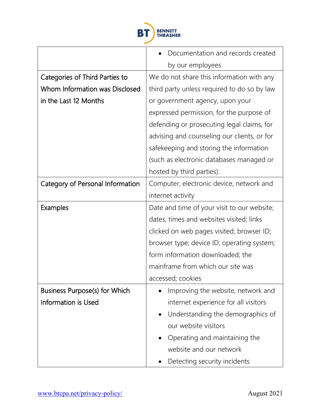

|                                      | Documentation and records created           |
|--------------------------------------|---------------------------------------------|
|                                      | by our employees                            |
| Categories of Third Parties to       | We do not share this information with any   |
| Whom Information was Disclosed       | third party unless required to do so by law |
| in the Last 12 Months                | or government agency, upon your             |
|                                      | expressed permission, for the purpose of    |
|                                      | defending or prosecuting legal claims, for  |
|                                      | advising and counseling our clients, or for |
|                                      | safekeeping and storing the information     |
|                                      | (such as electronic databases managed or    |
|                                      | hosted by third parties).                   |
| Category of Personal Information     | Computer, electronic device, network and    |
|                                      | internet activity                           |
| Examples                             | Date and time of your visit to our website; |
|                                      | dates, times and websites visited; links    |
|                                      | clicked on web pages visited; browser ID;   |
|                                      | browser type; device ID; operating system;  |
|                                      | form information downloaded; the            |
|                                      | mainframe from which our site was           |
|                                      | accessed; cookies                           |
| <b>Business Purpose(s) for Which</b> | Improving the website, network and          |
| <b>Information is Used</b>           | internet experience for all visitors        |
|                                      | Understanding the demographics of           |
|                                      | our website visitors                        |
|                                      | Operating and maintaining the               |
|                                      | website and our network                     |
|                                      | Detecting security incidents                |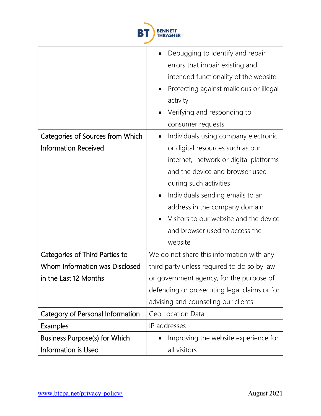

|                                       | Debugging to identify and repair             |
|---------------------------------------|----------------------------------------------|
|                                       | errors that impair existing and              |
|                                       | intended functionality of the website        |
|                                       | Protecting against malicious or illegal      |
|                                       | activity                                     |
|                                       | Verifying and responding to                  |
|                                       | consumer requests                            |
| Categories of Sources from Which      | Individuals using company electronic         |
| <b>Information Received</b>           | or digital resources such as our             |
|                                       | internet, network or digital platforms       |
|                                       | and the device and browser used              |
|                                       | during such activities                       |
|                                       | Individuals sending emails to an             |
|                                       | address in the company domain                |
|                                       | Visitors to our website and the device       |
|                                       | and browser used to access the               |
|                                       | website                                      |
| <b>Categories of Third Parties to</b> | We do not share this information with any    |
| Whom Information was Disclosed        | third party unless required to do so by law  |
| in the Last 12 Months                 | or government agency, for the purpose of     |
|                                       | defending or prosecuting legal claims or for |
|                                       | advising and counseling our clients          |
| Category of Personal Information      | Geo Location Data                            |
| Examples                              | IP addresses                                 |
| <b>Business Purpose(s) for Which</b>  | Improving the website experience for         |
| Information is Used                   | all visitors                                 |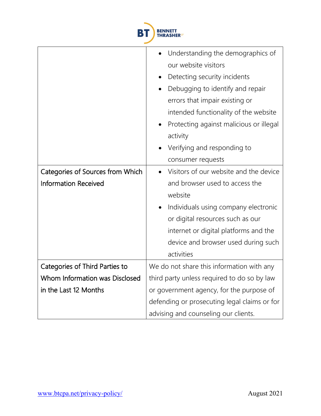

|                                  | Understanding the demographics of            |
|----------------------------------|----------------------------------------------|
|                                  | our website visitors                         |
|                                  | Detecting security incidents<br>$\bullet$    |
|                                  | Debugging to identify and repair             |
|                                  | errors that impair existing or               |
|                                  | intended functionality of the website        |
|                                  | Protecting against malicious or illegal      |
|                                  | activity                                     |
|                                  | Verifying and responding to                  |
|                                  | consumer requests                            |
| Categories of Sources from Which | Visitors of our website and the device       |
| <b>Information Received</b>      | and browser used to access the               |
|                                  | website                                      |
|                                  | Individuals using company electronic         |
|                                  | or digital resources such as our             |
|                                  | internet or digital platforms and the        |
|                                  | device and browser used during such          |
|                                  | activities                                   |
| Categories of Third Parties to   | We do not share this information with any    |
| Whom Information was Disclosed   | third party unless required to do so by law  |
| in the Last 12 Months            | or government agency, for the purpose of     |
|                                  | defending or prosecuting legal claims or for |
|                                  | advising and counseling our clients.         |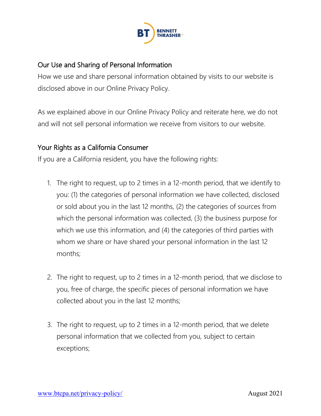

### Our Use and Sharing of Personal Information

How we use and share personal information obtained by visits to our website is disclosed above in our Online Privacy Policy.

As we explained above in our Online Privacy Policy and reiterate here, we do not and will not sell personal information we receive from visitors to our website.

#### Your Rights as a California Consumer

If you are a California resident, you have the following rights:

- 1. The right to request, up to 2 times in a 12-month period, that we identify to you: (1) the categories of personal information we have collected, disclosed or sold about you in the last 12 months, (2) the categories of sources from which the personal information was collected, (3) the business purpose for which we use this information, and (4) the categories of third parties with whom we share or have shared your personal information in the last 12 months;
- 2. The right to request, up to 2 times in a 12-month period, that we disclose to you, free of charge, the specific pieces of personal information we have collected about you in the last 12 months;
- 3. The right to request, up to 2 times in a 12-month period, that we delete personal information that we collected from you, subject to certain exceptions;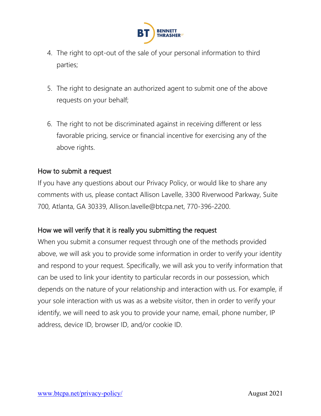

- 4. The right to opt-out of the sale of your personal information to third parties;
- 5. The right to designate an authorized agent to submit one of the above requests on your behalf;
- 6. The right to not be discriminated against in receiving different or less favorable pricing, service or financial incentive for exercising any of the above rights.

### How to submit a request

If you have any questions about our Privacy Policy, or would like to share any comments with us, please contact Allison Lavelle, 3300 Riverwood Parkway, Suite 700, Atlanta, GA 30339, Allison.lavelle@btcpa.net, 770-396-2200.

### How we will verify that it is really you submitting the request

When you submit a consumer request through one of the methods provided above, we will ask you to provide some information in order to verify your identity and respond to your request. Specifically, we will ask you to verify information that can be used to link your identity to particular records in our possession, which depends on the nature of your relationship and interaction with us. For example, if your sole interaction with us was as a website visitor, then in order to verify your identify, we will need to ask you to provide your name, email, phone number, IP address, device ID, browser ID, and/or cookie ID.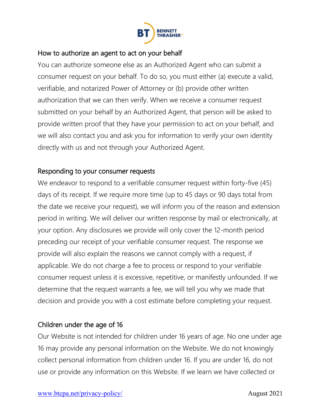

#### How to authorize an agent to act on your behalf

You can authorize someone else as an Authorized Agent who can submit a consumer request on your behalf. To do so, you must either (a) execute a valid, verifiable, and notarized Power of Attorney or (b) provide other written authorization that we can then verify. When we receive a consumer request submitted on your behalf by an Authorized Agent, that person will be asked to provide written proof that they have your permission to act on your behalf, and we will also contact you and ask you for information to verify your own identity directly with us and not through your Authorized Agent.

### Responding to your consumer requests

We endeavor to respond to a verifiable consumer request within forty-five (45) days of its receipt. If we require more time (up to 45 days or 90 days total from the date we receive your request), we will inform you of the reason and extension period in writing. We will deliver our written response by mail or electronically, at your option. Any disclosures we provide will only cover the 12-month period preceding our receipt of your verifiable consumer request. The response we provide will also explain the reasons we cannot comply with a request, if applicable. We do not charge a fee to process or respond to your verifiable consumer request unless it is excessive, repetitive, or manifestly unfounded. If we determine that the request warrants a fee, we will tell you why we made that decision and provide you with a cost estimate before completing your request.

### Children under the age of 16

Our Website is not intended for children under 16 years of age. No one under age 16 may provide any personal information on the Website. We do not knowingly collect personal information from children under 16. If you are under 16, do not use or provide any information on this Website. If we learn we have collected or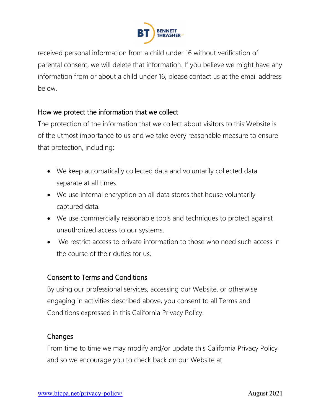

received personal information from a child under 16 without verification of parental consent, we will delete that information. If you believe we might have any information from or about a child under 16, please contact us at the email address below.

### How we protect the information that we collect

The protection of the information that we collect about visitors to this Website is of the utmost importance to us and we take every reasonable measure to ensure that protection, including:

- We keep automatically collected data and voluntarily collected data separate at all times.
- We use internal encryption on all data stores that house voluntarily captured data.
- We use commercially reasonable tools and techniques to protect against unauthorized access to our systems.
- We restrict access to private information to those who need such access in the course of their duties for us.

# Consent to Terms and Conditions

By using our professional services, accessing our Website, or otherwise engaging in activities described above, you consent to all Terms and Conditions expressed in this California Privacy Policy.

### Changes

From time to time we may modify and/or update this California Privacy Policy and so we encourage you to check back on our Website at